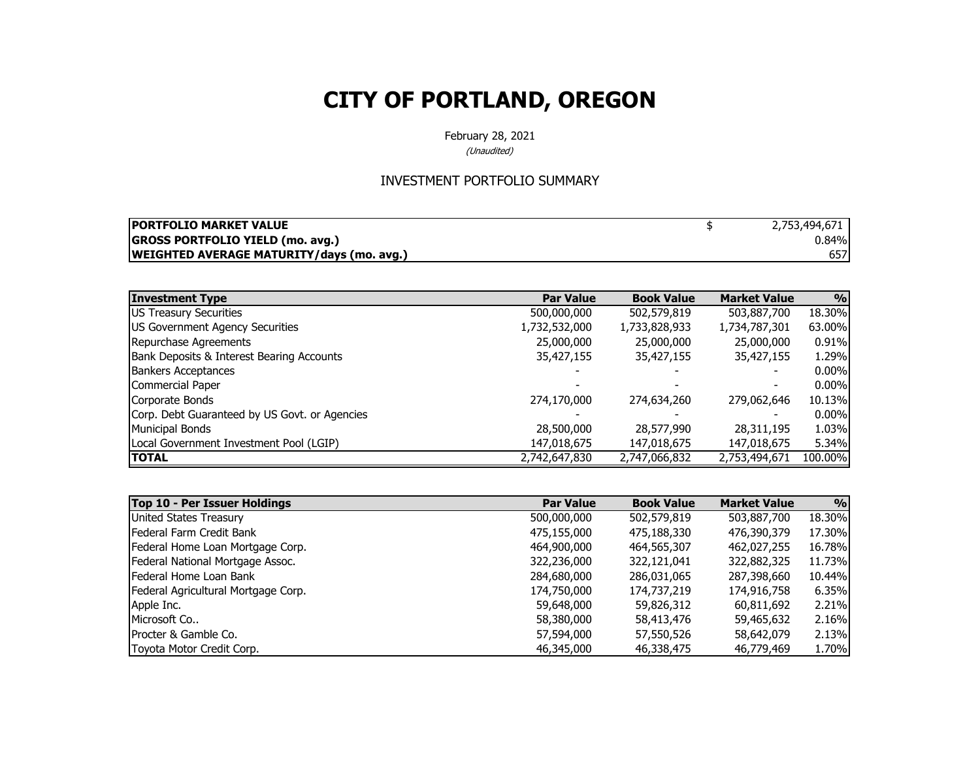February 28, 2021

(Unaudited)

#### INVESTMENT PORTFOLIO SUMMARY

| <b>IPORTFOLIO MARKET VALUE</b>                   | 2,753,494,671 |
|--------------------------------------------------|---------------|
| <b>GROSS PORTFOLIO YIELD (mo. avg.)</b>          | 0.84%         |
| <b>WEIGHTED AVERAGE MATURITY/days (mo. avg.)</b> | 657           |

| <b>Investment Type</b>                        | <b>Par Value</b> | <b>Book Value</b> | <b>Market Value</b> | 9/0      |
|-----------------------------------------------|------------------|-------------------|---------------------|----------|
| US Treasury Securities                        | 500,000,000      | 502,579,819       | 503,887,700         | 18.30%   |
| US Government Agency Securities               | 1,732,532,000    | 1,733,828,933     | 1,734,787,301       | 63.00%   |
| Repurchase Agreements                         | 25,000,000       | 25,000,000        | 25,000,000          | 0.91%    |
| Bank Deposits & Interest Bearing Accounts     | 35,427,155       | 35,427,155        | 35,427,155          | 1.29%    |
| <b>Bankers Acceptances</b>                    |                  |                   |                     | $0.00\%$ |
| Commercial Paper                              |                  |                   |                     | $0.00\%$ |
| Corporate Bonds                               | 274,170,000      | 274,634,260       | 279,062,646         | 10.13%   |
| Corp. Debt Guaranteed by US Govt. or Agencies |                  |                   |                     | $0.00\%$ |
| <b>Municipal Bonds</b>                        | 28,500,000       | 28,577,990        | 28,311,195          | 1.03%    |
| Local Government Investment Pool (LGIP)       | 147,018,675      | 147,018,675       | 147,018,675         | 5.34%    |
| <b>TOTAL</b>                                  | 2,742,647,830    | 2,747,066,832     | 2,753,494,671       | 100.00%  |

| Top 10 - Per Issuer Holdings        | <b>Par Value</b> | <b>Book Value</b> | <b>Market Value</b> | 9/0    |
|-------------------------------------|------------------|-------------------|---------------------|--------|
| United States Treasury              | 500,000,000      | 502,579,819       | 503,887,700         | 18.30% |
| Federal Farm Credit Bank            | 475,155,000      | 475,188,330       | 476,390,379         | 17.30% |
| Federal Home Loan Mortgage Corp.    | 464,900,000      | 464,565,307       | 462,027,255         | 16.78% |
| Federal National Mortgage Assoc.    | 322,236,000      | 322,121,041       | 322,882,325         | 11.73% |
| <b>IFederal Home Loan Bank</b>      | 284,680,000      | 286,031,065       | 287,398,660         | 10.44% |
| Federal Agricultural Mortgage Corp. | 174,750,000      | 174,737,219       | 174,916,758         | 6.35%  |
| Apple Inc.                          | 59,648,000       | 59,826,312        | 60,811,692          | 2.21%  |
| Microsoft Co                        | 58,380,000       | 58,413,476        | 59,465,632          | 2.16%  |
| <b>IProcter &amp; Gamble Co.</b>    | 57,594,000       | 57,550,526        | 58,642,079          | 2.13%  |
| Toyota Motor Credit Corp.           | 46,345,000       | 46,338,475        | 46,779,469          | 1.70%  |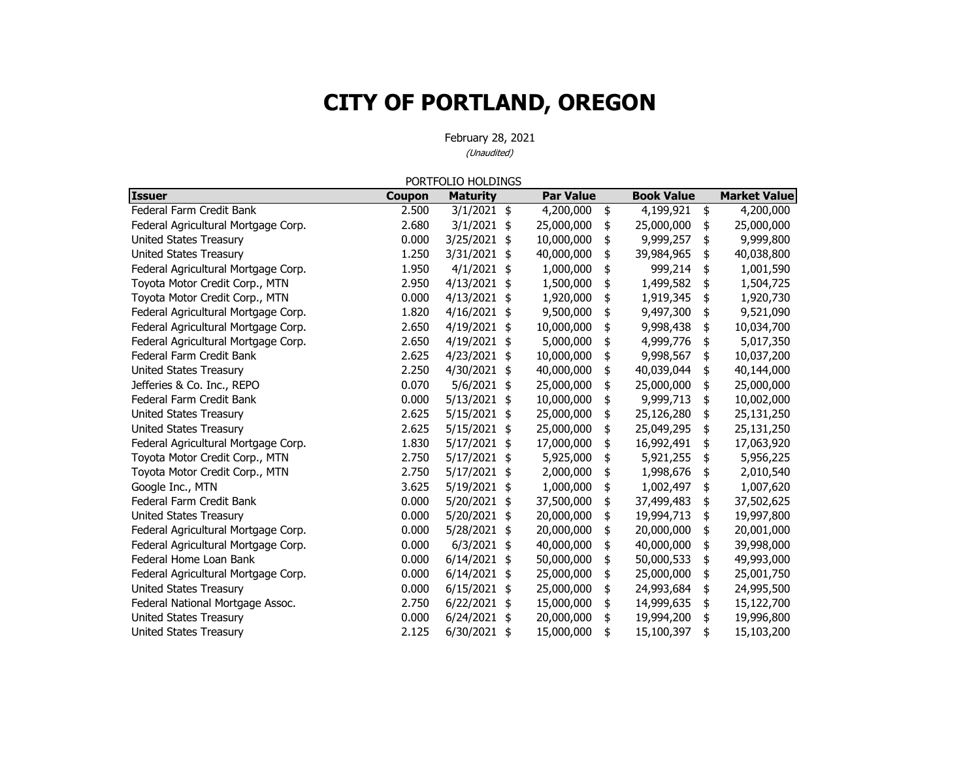|                                     |        | PORTFOLIO HOLDINGS |                  |                   |                     |
|-------------------------------------|--------|--------------------|------------------|-------------------|---------------------|
| <b>Issuer</b>                       | Coupon | <b>Maturity</b>    | <b>Par Value</b> | <b>Book Value</b> | <b>Market Value</b> |
| Federal Farm Credit Bank            | 2.500  | $3/1/2021$ \$      | 4,200,000        | \$<br>4,199,921   | \$<br>4,200,000     |
| Federal Agricultural Mortgage Corp. | 2.680  | $3/1/2021$ \$      | 25,000,000       | \$<br>25,000,000  | \$<br>25,000,000    |
| United States Treasury              | 0.000  | 3/25/2021<br>\$    | 10,000,000       | \$<br>9,999,257   | \$<br>9,999,800     |
| <b>United States Treasury</b>       | 1.250  | 3/31/2021<br>\$    | 40,000,000       | \$<br>39,984,965  | \$<br>40,038,800    |
| Federal Agricultural Mortgage Corp. | 1.950  | $4/1/2021$ \$      | 1,000,000        | \$<br>999,214     | \$<br>1,001,590     |
| Toyota Motor Credit Corp., MTN      | 2.950  | $4/13/2021$ \$     | 1,500,000        | \$<br>1,499,582   | \$<br>1,504,725     |
| Toyota Motor Credit Corp., MTN      | 0.000  | $4/13/2021$ \$     | 1,920,000        | \$<br>1,919,345   | \$<br>1,920,730     |
| Federal Agricultural Mortgage Corp. | 1.820  | $4/16/2021$ \$     | 9,500,000        | \$<br>9,497,300   | \$<br>9,521,090     |
| Federal Agricultural Mortgage Corp. | 2.650  | $4/19/2021$ \$     | 10,000,000       | \$<br>9,998,438   | \$<br>10,034,700    |
| Federal Agricultural Mortgage Corp. | 2.650  | $4/19/2021$ \$     | 5,000,000        | \$<br>4,999,776   | \$<br>5,017,350     |
| Federal Farm Credit Bank            | 2.625  | $4/23/2021$ \$     | 10,000,000       | \$<br>9,998,567   | \$<br>10,037,200    |
| United States Treasury              | 2.250  | 4/30/2021 \$       | 40,000,000       | \$<br>40,039,044  | \$<br>40,144,000    |
| Jefferies & Co. Inc., REPO          | 0.070  | 5/6/2021 \$        | 25,000,000       | \$<br>25,000,000  | \$<br>25,000,000    |
| Federal Farm Credit Bank            | 0.000  | 5/13/2021<br>\$    | 10,000,000       | \$<br>9,999,713   | \$<br>10,002,000    |
| <b>United States Treasury</b>       | 2.625  | 5/15/2021 \$       | 25,000,000       | \$<br>25,126,280  | \$<br>25,131,250    |
| United States Treasury              | 2.625  | $5/15/2021$ \$     | 25,000,000       | \$<br>25,049,295  | \$<br>25,131,250    |
| Federal Agricultural Mortgage Corp. | 1.830  | 5/17/2021 \$       | 17,000,000       | \$<br>16,992,491  | 17,063,920          |
| Toyota Motor Credit Corp., MTN      | 2.750  | 5/17/2021 \$       | 5,925,000        | \$<br>5,921,255   | \$<br>5,956,225     |
| Toyota Motor Credit Corp., MTN      | 2.750  | 5/17/2021 \$       | 2,000,000        | \$<br>1,998,676   | \$<br>2,010,540     |
| Google Inc., MTN                    | 3.625  | 5/19/2021<br>\$    | 1,000,000        | \$<br>1,002,497   | \$<br>1,007,620     |
| Federal Farm Credit Bank            | 0.000  | 5/20/2021<br>\$    | 37,500,000       | \$<br>37,499,483  | \$<br>37,502,625    |
| <b>United States Treasury</b>       | 0.000  | 5/20/2021<br>\$    | 20,000,000       | \$<br>19,994,713  | \$<br>19,997,800    |
| Federal Agricultural Mortgage Corp. | 0.000  | 5/28/2021<br>\$    | 20,000,000       | \$<br>20,000,000  | \$<br>20,001,000    |
| Federal Agricultural Mortgage Corp. | 0.000  | $6/3/2021$ \$      | 40,000,000       | \$<br>40,000,000  | \$<br>39,998,000    |
| Federal Home Loan Bank              | 0.000  | 6/14/2021<br>\$    | 50,000,000       | \$<br>50,000,533  | \$<br>49,993,000    |
| Federal Agricultural Mortgage Corp. | 0.000  | 6/14/2021<br>\$    | 25,000,000       | \$<br>25,000,000  | \$<br>25,001,750    |
| <b>United States Treasury</b>       | 0.000  | $6/15/2021$ \$     | 25,000,000       | \$<br>24,993,684  | \$<br>24,995,500    |
| Federal National Mortgage Assoc.    | 2.750  | 6/22/2021<br>\$    | 15,000,000       | \$<br>14,999,635  | \$<br>15,122,700    |
| United States Treasury              | 0.000  | 6/24/2021<br>\$    | 20,000,000       | \$<br>19,994,200  | \$<br>19,996,800    |
| United States Treasury              | 2.125  | 6/30/2021<br>\$    | 15,000,000       | \$<br>15,100,397  | \$<br>15,103,200    |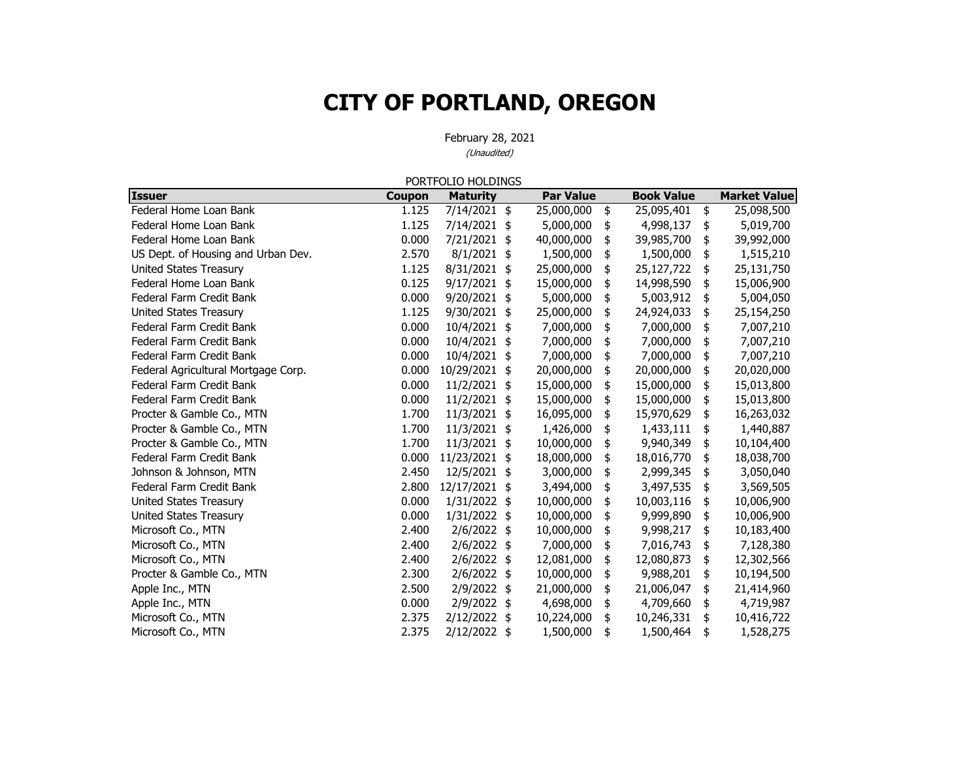|                                     |               | PORTFOLIO HOLDINGS |      |                  |                   |                     |
|-------------------------------------|---------------|--------------------|------|------------------|-------------------|---------------------|
| <b>Issuer</b>                       | <b>Coupon</b> | <b>Maturity</b>    |      | <b>Par Value</b> | <b>Book Value</b> | <b>Market Value</b> |
| Federal Home Loan Bank              | 1.125         | 7/14/2021 \$       |      | 25,000,000       | \$<br>25,095,401  | \$<br>25,098,500    |
| Federal Home Loan Bank              | 1.125         | 7/14/2021 \$       |      | 5,000,000        | \$<br>4,998,137   | \$<br>5,019,700     |
| Federal Home Loan Bank              | 0.000         | 7/21/2021 \$       |      | 40,000,000       | \$<br>39,985,700  | \$<br>39,992,000    |
| US Dept. of Housing and Urban Dev.  | 2.570         | $8/1/2021$ \$      |      | 1,500,000        | \$<br>1,500,000   | \$<br>1,515,210     |
| <b>United States Treasury</b>       | 1.125         | 8/31/2021 \$       |      | 25,000,000       | \$<br>25,127,722  | \$<br>25,131,750    |
| Federal Home Loan Bank              | 0.125         | 9/17/2021 \$       |      | 15,000,000       | \$<br>14,998,590  | \$<br>15,006,900    |
| Federal Farm Credit Bank            | 0.000         | 9/20/2021          | \$   | 5,000,000        | \$<br>5,003,912   | \$<br>5,004,050     |
| <b>United States Treasury</b>       | 1.125         | 9/30/2021 \$       |      | 25,000,000       | \$<br>24,924,033  | \$<br>25,154,250    |
| Federal Farm Credit Bank            | 0.000         | 10/4/2021 \$       |      | 7,000,000        | \$<br>7,000,000   | \$<br>7,007,210     |
| Federal Farm Credit Bank            | 0.000         | 10/4/2021 \$       |      | 7,000,000        | \$<br>7,000,000   | \$<br>7,007,210     |
| Federal Farm Credit Bank            | 0.000         | 10/4/2021 \$       |      | 7,000,000        | \$<br>7,000,000   | \$<br>7,007,210     |
| Federal Agricultural Mortgage Corp. | 0.000         | 10/29/2021 \$      |      | 20,000,000       | \$<br>20,000,000  | \$<br>20,020,000    |
| Federal Farm Credit Bank            | 0.000         | 11/2/2021          | \$   | 15,000,000       | \$<br>15,000,000  | \$<br>15,013,800    |
| Federal Farm Credit Bank            | 0.000         | 11/2/2021 \$       |      | 15,000,000       | \$<br>15,000,000  | \$<br>15,013,800    |
| Procter & Gamble Co., MTN           | 1.700         | 11/3/2021 \$       |      | 16,095,000       | \$<br>15,970,629  | \$<br>16,263,032    |
| Procter & Gamble Co., MTN           | 1.700         | 11/3/2021 \$       |      | 1,426,000        | \$<br>1,433,111   | \$<br>1,440,887     |
| Procter & Gamble Co., MTN           | 1.700         | 11/3/2021 \$       |      | 10,000,000       | \$<br>9,940,349   | \$<br>10,104,400    |
| Federal Farm Credit Bank            | 0.000         | 11/23/2021 \$      |      | 18,000,000       | \$<br>18,016,770  | \$<br>18,038,700    |
| Johnson & Johnson, MTN              | 2.450         | 12/5/2021          | \$   | 3,000,000        | \$<br>2,999,345   | \$<br>3,050,040     |
| Federal Farm Credit Bank            | 2.800         | 12/17/2021 \$      |      | 3,494,000        | \$<br>3,497,535   | \$<br>3,569,505     |
| United States Treasury              | 0.000         | 1/31/2022 \$       |      | 10,000,000       | \$<br>10,003,116  | \$<br>10,006,900    |
| <b>United States Treasury</b>       | 0.000         | 1/31/2022 \$       |      | 10,000,000       | \$<br>9,999,890   | \$<br>10,006,900    |
| Microsoft Co., MTN                  | 2.400         | $2/6/2022$ \$      |      | 10,000,000       | \$<br>9,998,217   | \$<br>10,183,400    |
| Microsoft Co., MTN                  | 2.400         | $2/6/2022$ \$      |      | 7,000,000        | \$<br>7,016,743   | \$<br>7,128,380     |
| Microsoft Co., MTN                  | 2.400         | 2/6/2022 \$        |      | 12,081,000       | \$<br>12,080,873  | \$<br>12,302,566    |
| Procter & Gamble Co., MTN           | 2.300         | $2/6/2022$ \$      |      | 10,000,000       | \$<br>9,988,201   | \$<br>10,194,500    |
| Apple Inc., MTN                     | 2.500         | 2/9/2022 \$        |      | 21,000,000       | \$<br>21,006,047  | \$<br>21,414,960    |
| Apple Inc., MTN                     | 0.000         | 2/9/2022 \$        |      | 4,698,000        | \$<br>4,709,660   | \$<br>4,719,987     |
| Microsoft Co., MTN                  | 2.375         | 2/12/2022 \$       |      | 10,224,000       | \$<br>10,246,331  | \$<br>10,416,722    |
| Microsoft Co., MTN                  | 2.375         | 2/12/2022          | - \$ | 1,500,000        | \$<br>1,500,464   | \$<br>1,528,275     |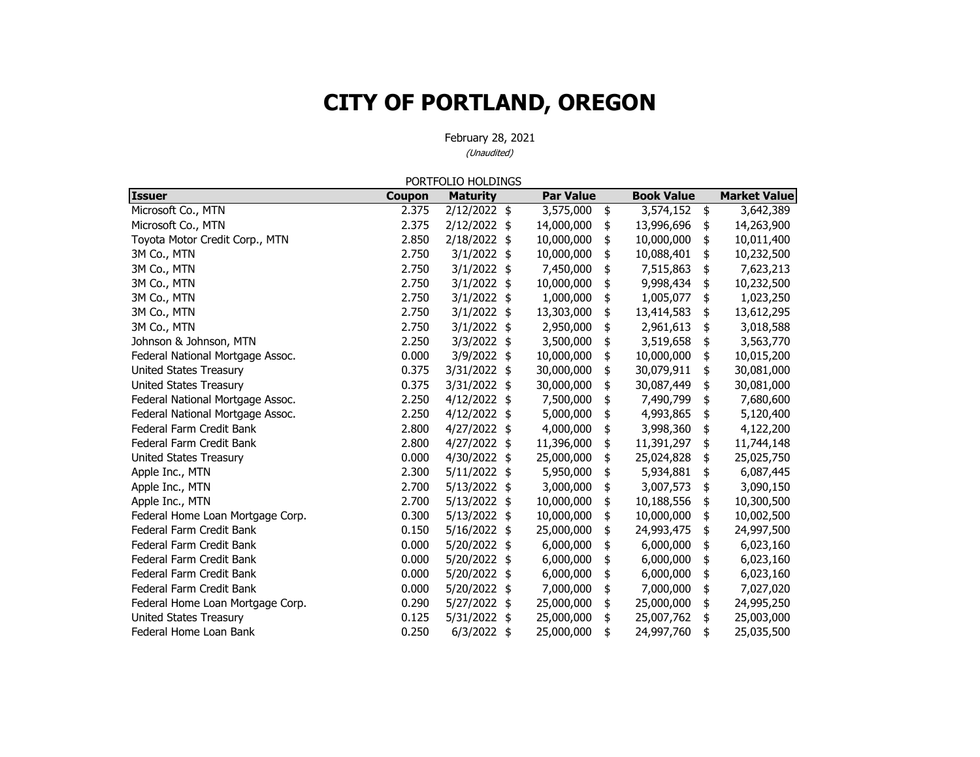February 28, 2021 (Unaudited)

**Issuer Coupon Maturit y Par Value Book Value Market Value** Microsoft Co., MTN 2.389 2.375 2/12/2022  $\frac{1}{2}$  3,575,000  $\frac{1}{2}$  3,574,152  $\frac{1}{2}$  3,642,389 Microsoft Co., MTN 263,900 14,000,000 14,000,000 14,000,000 14,000,000 14,263,900 Toyota Motor Credit Corp., MTN 2.850 2/18/2022 \$ 10,000,000 \$ 10,000,000 \$ 10,011,400 3M Co., MTN 2.750 2.750 3/1/2022  $\frac{1}{2}$  3/0,000,000  $\frac{1}{2}$  10,088,401  $\frac{1}{2}$  10,232,500 3M Co., MTN 2.750 3/1/2022 \$ 7,450,000 \$ 7,515,863 \$ 7,623,213 3M Co., MTN 2.750 3/1/2022 \$ 10,000,000 \$ 9,998,434 \$ 10,232,500 3M Co., MTN 2022 1,000,000 1,000,000 1,005,077 1,023,250 3M Co., MTN 2.750 3/1/2022 \$ 13,303,000 \$ 13,414,583 \$ 13,612,295 3M Co., MTN 2.750 3/1/2022 \$ 2,950,000 \$ 2,961,613 \$ 3,018,588 Johnson & Johnson, MTN 2.250 3/3/2022 \$ 3,500,000 \$ 3,519,658 \$ 3,563,770 Federal National Mortgage Assoc.  $\begin{array}{ccccccccc}\n & 0.000 & 3/9/2022 & $ & 10,000,000 & $ & 10,000,000 & $ & 10,015,200\n\end{array}$ United States Treasury 10.375 3/31/2022 \$ 30,000,000 \$ 30,079,911 \$ 30,081,000 United States Treasury 10.375 3/31/2022 1 30,000,000 1 30,087,449 1 30,081,000 Federal National Mortgage Assoc. 2.250 4/12/2022 \$ 7,500,000 \$ 7,490,799 \$ 7,680,600 Federal National Mortgage Assoc. 2.250 4/12/2022 \$ 5,000,000 \$ 4,993,865 \$ 5,120,400 Federal Farm Credit Bank 2.800 4/27/2022 4,000,000 \$ 3,998,360 \$ 4,122,200 \$ Federal Farm Credit Bank2.800 4/27/2022 \$ 11,396,000 \$ 11,391,297 \$ 11,744,148 United States Treasury 15,000 2000 2000 4/30/2022 25 25,000,000 25 25,024,828 25,025,750 Apple Inc., MTN 2.300 5/11/2022 \$5,950,000 \$5,934,881 \$6,087,445 Apple Inc., MTN 2.700 3/13/2022 \$3,000,000 \$3,007,573 \$3,090,150 Apple Inc., MTN 2.700 3/13/2022 \$ 10,000,000 \$ 10,188,556 \$ 10,300,500 Federal Home Loan Mortgage Corp. 10.000 0.300 5/13/2022 \$ 10,000,000 \$ 10,000,000 \$ 10,002,500 Federal Farm Credit Bank0.150 5/16/2022 \$ 25,000,000 \$ 24,993,475 \$ 24,997,500 Federal Farm Credit Bank0.000  $5/20/2022$  \$ 6,000,000 \$ 6,000,000 \$ 6,023,160 Federal Farm Credit Bank0.000  $5/20/2022$  \$ 6,000,000 \$ 6,000,000 \$ 6,023,160 Federal Farm Credit Bank0.000 5/20/2022 \$ 6,000,000 \$ 6,000,000 \$ 6,023,160 Federal Farm Credit Bank 0.000 5/20/2022 7,000,000 \$ 7,000,000 \$ 7,027,020 \$ Federal Home Loan Mortgage Corp. 0.290 5/27/2022  $\frac{1}{2}$  25,000,000  $\frac{1}{2}$  25,000,000  $\frac{1}{2}$  24,995,250 United States Treasury 15,000,000 125 5/31/2022 25 25,000,000 25 25,007,762 25,003,000 Federal Home Loan Bank0.250 6/3/2022 \$ 25,000,000 \$ 24,997,760 \$ 25,035,500 PORTFOLIO HOLDINGS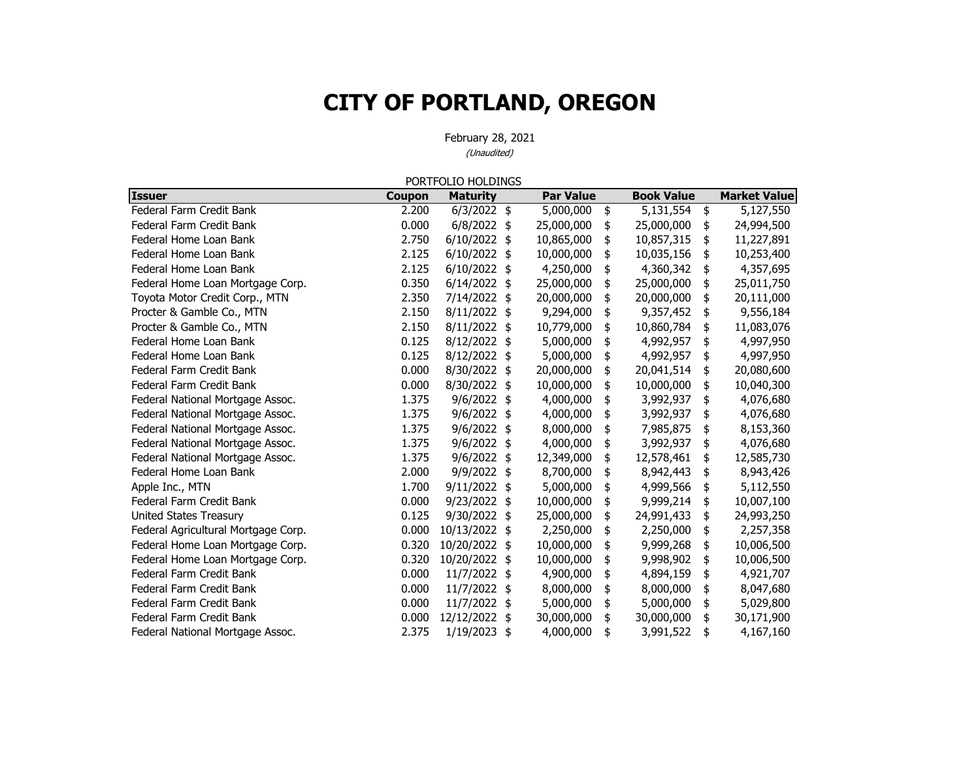|                                     |        | PORTFOLIO HOLDINGS |                  |                   |                     |
|-------------------------------------|--------|--------------------|------------------|-------------------|---------------------|
| <b>Issuer</b>                       | Coupon | <b>Maturity</b>    | <b>Par Value</b> | <b>Book Value</b> | <b>Market Value</b> |
| Federal Farm Credit Bank            | 2.200  | $6/3/2022$ \$      | 5,000,000        | \$<br>5,131,554   | \$<br>5,127,550     |
| Federal Farm Credit Bank            | 0.000  | $6/8/2022$ \$      | 25,000,000       | \$<br>25,000,000  | \$<br>24,994,500    |
| Federal Home Loan Bank              | 2.750  | 6/10/2022 \$       | 10,865,000       | \$<br>10,857,315  | \$<br>11,227,891    |
| Federal Home Loan Bank              | 2.125  | $6/10/2022$ \$     | 10,000,000       | \$<br>10,035,156  | \$<br>10,253,400    |
| Federal Home Loan Bank              | 2.125  | $6/10/2022$ \$     | 4,250,000        | \$<br>4,360,342   | \$<br>4,357,695     |
| Federal Home Loan Mortgage Corp.    | 0.350  | $6/14/2022$ \$     | 25,000,000       | \$<br>25,000,000  | \$<br>25,011,750    |
| Toyota Motor Credit Corp., MTN      | 2.350  | 7/14/2022 \$       | 20,000,000       | \$<br>20,000,000  | \$<br>20,111,000    |
| Procter & Gamble Co., MTN           | 2.150  | 8/11/2022 \$       | 9,294,000        | \$<br>9,357,452   | \$<br>9,556,184     |
| Procter & Gamble Co., MTN           | 2.150  | 8/11/2022 \$       | 10,779,000       | \$<br>10,860,784  | \$<br>11,083,076    |
| Federal Home Loan Bank              | 0.125  | 8/12/2022 \$       | 5,000,000        | \$<br>4,992,957   | \$<br>4,997,950     |
| Federal Home Loan Bank              | 0.125  | 8/12/2022 \$       | 5,000,000        | \$<br>4,992,957   | \$<br>4,997,950     |
| Federal Farm Credit Bank            | 0.000  | 8/30/2022 \$       | 20,000,000       | \$<br>20,041,514  | \$<br>20,080,600    |
| Federal Farm Credit Bank            | 0.000  | 8/30/2022 \$       | 10,000,000       | \$<br>10,000,000  | \$<br>10,040,300    |
| Federal National Mortgage Assoc.    | 1.375  | 9/6/2022 \$        | 4,000,000        | \$<br>3,992,937   | \$<br>4,076,680     |
| Federal National Mortgage Assoc.    | 1.375  | 9/6/2022 \$        | 4,000,000        | \$<br>3,992,937   | \$<br>4,076,680     |
| Federal National Mortgage Assoc.    | 1.375  | 9/6/2022 \$        | 8,000,000        | \$<br>7,985,875   | \$<br>8,153,360     |
| Federal National Mortgage Assoc.    | 1.375  | 9/6/2022 \$        | 4,000,000        | \$<br>3,992,937   | \$<br>4,076,680     |
| Federal National Mortgage Assoc.    | 1.375  | 9/6/2022 \$        | 12,349,000       | \$<br>12,578,461  | \$<br>12,585,730    |
| Federal Home Loan Bank              | 2.000  | 9/9/2022 \$        | 8,700,000        | \$<br>8,942,443   | \$<br>8,943,426     |
| Apple Inc., MTN                     | 1.700  | $9/11/2022$ \$     | 5,000,000        | \$<br>4,999,566   | \$<br>5,112,550     |
| Federal Farm Credit Bank            | 0.000  | 9/23/2022 \$       | 10,000,000       | \$<br>9,999,214   | \$<br>10,007,100    |
| <b>United States Treasury</b>       | 0.125  | 9/30/2022 \$       | 25,000,000       | \$<br>24,991,433  | \$<br>24,993,250    |
| Federal Agricultural Mortgage Corp. | 0.000  | 10/13/2022 \$      | 2,250,000        | \$<br>2,250,000   | \$<br>2,257,358     |
| Federal Home Loan Mortgage Corp.    | 0.320  | 10/20/2022 \$      | 10,000,000       | \$<br>9,999,268   | \$<br>10,006,500    |
| Federal Home Loan Mortgage Corp.    | 0.320  | 10/20/2022 \$      | 10,000,000       | \$<br>9,998,902   | 10,006,500          |
| Federal Farm Credit Bank            | 0.000  | 11/7/2022 \$       | 4,900,000        | \$<br>4,894,159   | \$<br>4,921,707     |
| Federal Farm Credit Bank            | 0.000  | 11/7/2022 \$       | 8,000,000        | \$<br>8,000,000   | \$<br>8,047,680     |
| Federal Farm Credit Bank            | 0.000  | 11/7/2022 \$       | 5,000,000        | \$<br>5,000,000   | \$<br>5,029,800     |
| Federal Farm Credit Bank            | 0.000  | 12/12/2022 \$      | 30,000,000       | \$<br>30,000,000  | \$<br>30,171,900    |
| Federal National Mortgage Assoc.    | 2.375  | 1/19/2023          | \$<br>4,000,000  | \$<br>3,991,522   | \$<br>4,167,160     |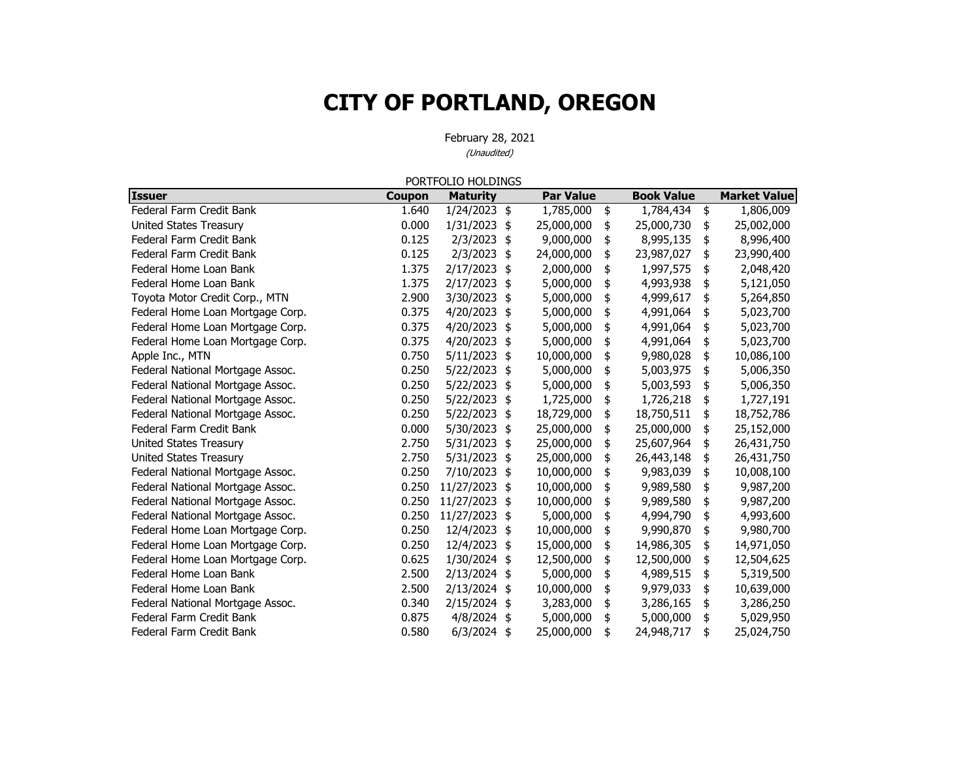|                                  |        | PORTFOLIO HOLDINGS |               |                  |                   |                     |
|----------------------------------|--------|--------------------|---------------|------------------|-------------------|---------------------|
| <b>Issuer</b>                    | Coupon | <b>Maturity</b>    |               | <b>Par Value</b> | <b>Book Value</b> | <b>Market Value</b> |
| Federal Farm Credit Bank         | 1.640  | 1/24/2023 \$       |               | 1,785,000        | \$<br>1,784,434   | \$<br>1,806,009     |
| United States Treasury           | 0.000  | $1/31/2023$ \$     |               | 25,000,000       | \$<br>25,000,730  | \$<br>25,002,000    |
| Federal Farm Credit Bank         | 0.125  | $2/3/2023$ \$      |               | 9,000,000        | \$<br>8,995,135   | \$<br>8,996,400     |
| Federal Farm Credit Bank         | 0.125  | $2/3/2023$ \$      |               | 24,000,000       | \$<br>23,987,027  | \$<br>23,990,400    |
| Federal Home Loan Bank           | 1.375  | 2/17/2023 \$       |               | 2,000,000        | \$<br>1,997,575   | \$<br>2,048,420     |
| Federal Home Loan Bank           | 1.375  | 2/17/2023 \$       |               | 5,000,000        | \$<br>4,993,938   | \$<br>5,121,050     |
| Toyota Motor Credit Corp., MTN   | 2.900  | 3/30/2023          | $\frac{1}{2}$ | 5,000,000        | \$<br>4,999,617   | \$<br>5,264,850     |
| Federal Home Loan Mortgage Corp. | 0.375  | 4/20/2023 \$       |               | 5,000,000        | \$<br>4,991,064   | \$<br>5,023,700     |
| Federal Home Loan Mortgage Corp. | 0.375  | 4/20/2023 \$       |               | 5,000,000        | \$<br>4,991,064   | \$<br>5,023,700     |
| Federal Home Loan Mortgage Corp. | 0.375  | 4/20/2023 \$       |               | 5,000,000        | \$<br>4,991,064   | \$<br>5,023,700     |
| Apple Inc., MTN                  | 0.750  | $5/11/2023$ \$     |               | 10,000,000       | \$<br>9,980,028   | \$<br>10,086,100    |
| Federal National Mortgage Assoc. | 0.250  | 5/22/2023 \$       |               | 5,000,000        | \$<br>5,003,975   | \$<br>5,006,350     |
| Federal National Mortgage Assoc. | 0.250  | 5/22/2023          | \$            | 5,000,000        | \$<br>5,003,593   | \$<br>5,006,350     |
| Federal National Mortgage Assoc. | 0.250  | 5/22/2023 \$       |               | 1,725,000        | \$<br>1,726,218   | \$<br>1,727,191     |
| Federal National Mortgage Assoc. | 0.250  | 5/22/2023 \$       |               | 18,729,000       | \$<br>18,750,511  | \$<br>18,752,786    |
| Federal Farm Credit Bank         | 0.000  | 5/30/2023 \$       |               | 25,000,000       | \$<br>25,000,000  | \$<br>25,152,000    |
| United States Treasury           | 2.750  | 5/31/2023          | \$            | 25,000,000       | \$<br>25,607,964  | \$<br>26,431,750    |
| United States Treasury           | 2.750  | 5/31/2023          | $\frac{1}{2}$ | 25,000,000       | \$<br>26,443,148  | \$<br>26,431,750    |
| Federal National Mortgage Assoc. | 0.250  | 7/10/2023          | \$            | 10,000,000       | \$<br>9,983,039   | \$<br>10,008,100    |
| Federal National Mortgage Assoc. | 0.250  | 11/27/2023         | \$            | 10,000,000       | \$<br>9,989,580   | \$<br>9,987,200     |
| Federal National Mortgage Assoc. | 0.250  | 11/27/2023 \$      |               | 10,000,000       | \$<br>9,989,580   | \$<br>9,987,200     |
| Federal National Mortgage Assoc. | 0.250  | 11/27/2023 \$      |               | 5,000,000        | \$<br>4,994,790   | \$<br>4,993,600     |
| Federal Home Loan Mortgage Corp. | 0.250  | 12/4/2023          | \$            | 10,000,000       | \$<br>9,990,870   | \$<br>9,980,700     |
| Federal Home Loan Mortgage Corp. | 0.250  | 12/4/2023 \$       |               | 15,000,000       | \$<br>14,986,305  | \$<br>14,971,050    |
| Federal Home Loan Mortgage Corp. | 0.625  | 1/30/2024 \$       |               | 12,500,000       | \$<br>12,500,000  | \$<br>12,504,625    |
| Federal Home Loan Bank           | 2.500  | 2/13/2024 \$       |               | 5,000,000        | \$<br>4,989,515   | \$<br>5,319,500     |
| Federal Home Loan Bank           | 2.500  | $2/13/2024$ \$     |               | 10,000,000       | \$<br>9,979,033   | \$<br>10,639,000    |
| Federal National Mortgage Assoc. | 0.340  | 2/15/2024 \$       |               | 3,283,000        | \$<br>3,286,165   | \$<br>3,286,250     |
| Federal Farm Credit Bank         | 0.875  | $4/8/2024$ \$      |               | 5,000,000        | \$<br>5,000,000   | \$<br>5,029,950     |
| Federal Farm Credit Bank         | 0.580  | 6/3/2024           | \$            | 25,000,000       | \$<br>24,948,717  | \$<br>25,024,750    |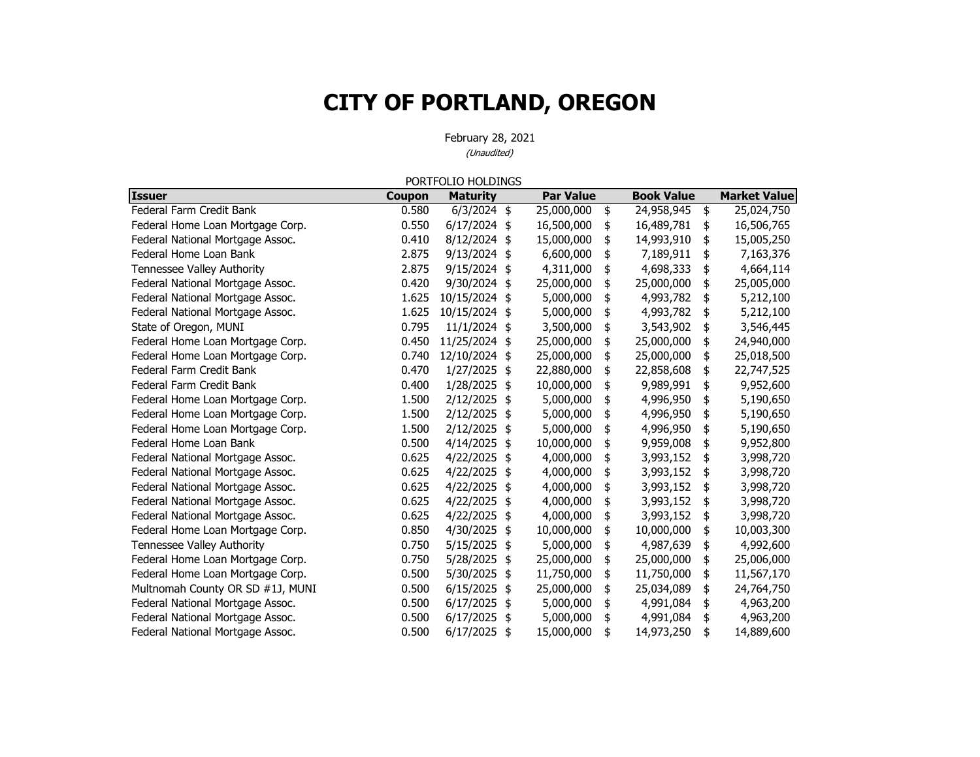|                                  |               | PORTFOLIO HOLDINGS |               |                  |                   |                     |
|----------------------------------|---------------|--------------------|---------------|------------------|-------------------|---------------------|
| <b>Issuer</b>                    | <b>Coupon</b> | <b>Maturity</b>    |               | <b>Par Value</b> | <b>Book Value</b> | <b>Market Value</b> |
| Federal Farm Credit Bank         | 0.580         | $6/3/2024$ \$      |               | 25,000,000       | \$<br>24,958,945  | \$<br>25,024,750    |
| Federal Home Loan Mortgage Corp. | 0.550         | $6/17/2024$ \$     |               | 16,500,000       | \$<br>16,489,781  | \$<br>16,506,765    |
| Federal National Mortgage Assoc. | 0.410         | 8/12/2024 \$       |               | 15,000,000       | \$<br>14,993,910  | \$<br>15,005,250    |
| Federal Home Loan Bank           | 2.875         | 9/13/2024 \$       |               | 6,600,000        | \$<br>7,189,911   | \$<br>7,163,376     |
| Tennessee Valley Authority       | 2.875         | 9/15/2024 \$       |               | 4,311,000        | \$<br>4,698,333   | \$<br>4,664,114     |
| Federal National Mortgage Assoc. | 0.420         | 9/30/2024 \$       |               | 25,000,000       | \$<br>25,000,000  | \$<br>25,005,000    |
| Federal National Mortgage Assoc. | 1.625         | 10/15/2024 \$      |               | 5,000,000        | \$<br>4,993,782   | \$<br>5,212,100     |
| Federal National Mortgage Assoc. | 1.625         | 10/15/2024 \$      |               | 5,000,000        | \$<br>4,993,782   | \$<br>5,212,100     |
| State of Oregon, MUNI            | 0.795         | $11/1/2024$ \$     |               | 3,500,000        | \$<br>3,543,902   | \$<br>3,546,445     |
| Federal Home Loan Mortgage Corp. | 0.450         | 11/25/2024 \$      |               | 25,000,000       | \$<br>25,000,000  | \$<br>24,940,000    |
| Federal Home Loan Mortgage Corp. | 0.740         | 12/10/2024 \$      |               | 25,000,000       | \$<br>25,000,000  | \$<br>25,018,500    |
| Federal Farm Credit Bank         | 0.470         | 1/27/2025          | \$            | 22,880,000       | \$<br>22,858,608  | \$<br>22,747,525    |
| Federal Farm Credit Bank         | 0.400         | 1/28/2025          | \$            | 10,000,000       | \$<br>9,989,991   | \$<br>9,952,600     |
| Federal Home Loan Mortgage Corp. | 1.500         | 2/12/2025          | \$            | 5,000,000        | \$<br>4,996,950   | \$<br>5,190,650     |
| Federal Home Loan Mortgage Corp. | 1.500         | 2/12/2025 \$       |               | 5,000,000        | \$<br>4,996,950   | \$<br>5,190,650     |
| Federal Home Loan Mortgage Corp. | 1.500         | 2/12/2025          | \$            | 5,000,000        | \$<br>4,996,950   | \$<br>5,190,650     |
| Federal Home Loan Bank           | 0.500         | 4/14/2025          | \$            | 10,000,000       | \$<br>9,959,008   | \$<br>9,952,800     |
| Federal National Mortgage Assoc. | 0.625         | 4/22/2025 \$       |               | 4,000,000        | \$<br>3,993,152   | \$<br>3,998,720     |
| Federal National Mortgage Assoc. | 0.625         | 4/22/2025          | $\frac{4}{5}$ | 4,000,000        | \$<br>3,993,152   | \$<br>3,998,720     |
| Federal National Mortgage Assoc. | 0.625         | 4/22/2025          | \$            | 4,000,000        | \$<br>3,993,152   | \$<br>3,998,720     |
| Federal National Mortgage Assoc. | 0.625         | 4/22/2025          | \$            | 4,000,000        | \$<br>3,993,152   | \$<br>3,998,720     |
| Federal National Mortgage Assoc. | 0.625         | 4/22/2025          | \$            | 4,000,000        | \$<br>3,993,152   | \$<br>3,998,720     |
| Federal Home Loan Mortgage Corp. | 0.850         | 4/30/2025          | \$            | 10,000,000       | \$<br>10,000,000  | \$<br>10,003,300    |
| Tennessee Valley Authority       | 0.750         | 5/15/2025          | \$            | 5,000,000        | \$<br>4,987,639   | \$<br>4,992,600     |
| Federal Home Loan Mortgage Corp. | 0.750         | 5/28/2025          | \$            | 25,000,000       | \$<br>25,000,000  | \$<br>25,006,000    |
| Federal Home Loan Mortgage Corp. | 0.500         | 5/30/2025          | \$            | 11,750,000       | \$<br>11,750,000  | \$<br>11,567,170    |
| Multnomah County OR SD #1J, MUNI | 0.500         | $6/15/2025$ \$     |               | 25,000,000       | \$<br>25,034,089  | \$<br>24,764,750    |
| Federal National Mortgage Assoc. | 0.500         | 6/17/2025          | \$            | 5,000,000        | \$<br>4,991,084   | \$<br>4,963,200     |
| Federal National Mortgage Assoc. | 0.500         | 6/17/2025          | \$            | 5,000,000        | \$<br>4,991,084   | \$<br>4,963,200     |
| Federal National Mortgage Assoc. | 0.500         | 6/17/2025          | \$            | 15,000,000       | \$<br>14,973,250  | \$<br>14,889,600    |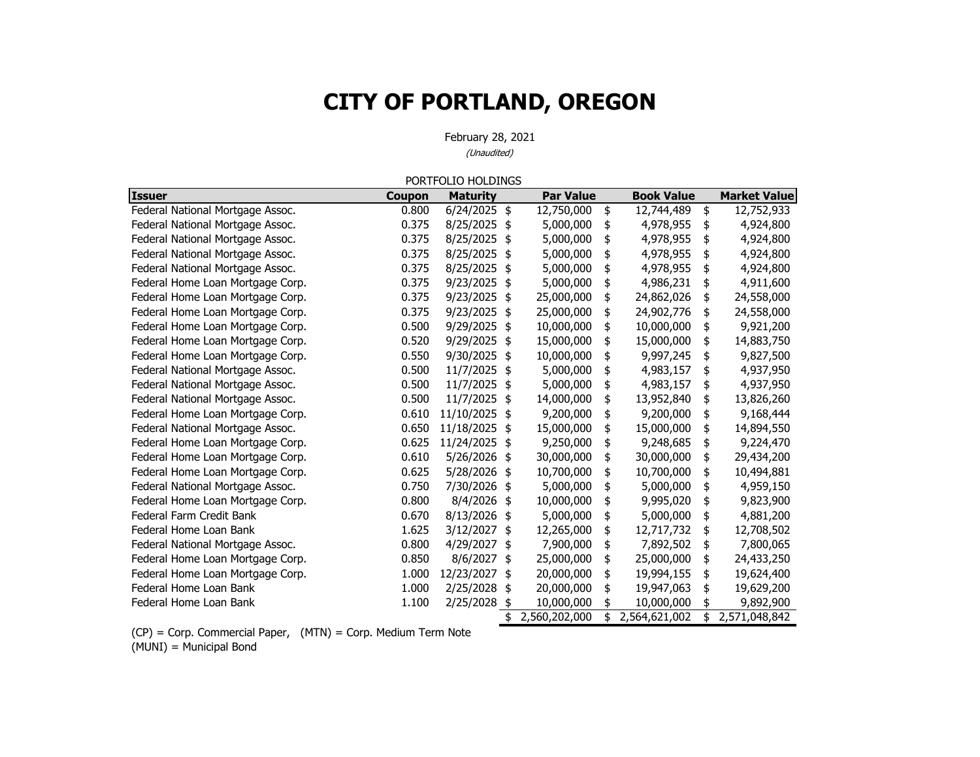February 28, 2021 (Unaudited)

|                                  |        | PORTFOLIO HOLDINGS |                     |                     |                     |
|----------------------------------|--------|--------------------|---------------------|---------------------|---------------------|
| <b>Issuer</b>                    | Coupon | <b>Maturity</b>    | <b>Par Value</b>    | <b>Book Value</b>   | <b>Market Value</b> |
| Federal National Mortgage Assoc. | 0.800  | 6/24/2025 \$       | 12,750,000          | \$<br>12,744,489    | \$<br>12,752,933    |
| Federal National Mortgage Assoc. | 0.375  | 8/25/2025          | \$<br>5,000,000     | \$<br>4,978,955     | \$<br>4,924,800     |
| Federal National Mortgage Assoc. | 0.375  | 8/25/2025          | \$<br>5,000,000     | \$<br>4,978,955     | \$<br>4,924,800     |
| Federal National Mortgage Assoc. | 0.375  | 8/25/2025          | \$<br>5,000,000     | \$<br>4,978,955     | \$<br>4,924,800     |
| Federal National Mortgage Assoc. | 0.375  | 8/25/2025          | \$<br>5,000,000     | \$<br>4,978,955     | \$<br>4,924,800     |
| Federal Home Loan Mortgage Corp. | 0.375  | 9/23/2025          | \$<br>5,000,000     | \$<br>4,986,231     | \$<br>4,911,600     |
| Federal Home Loan Mortgage Corp. | 0.375  | 9/23/2025          | \$<br>25,000,000    | \$<br>24,862,026    | \$<br>24,558,000    |
| Federal Home Loan Mortgage Corp. | 0.375  | 9/23/2025          | \$<br>25,000,000    | \$<br>24,902,776    | \$<br>24,558,000    |
| Federal Home Loan Mortgage Corp. | 0.500  | 9/29/2025          | \$<br>10,000,000    | \$<br>10,000,000    | \$<br>9,921,200     |
| Federal Home Loan Mortgage Corp. | 0.520  | 9/29/2025          | \$<br>15,000,000    | \$<br>15,000,000    | \$<br>14,883,750    |
| Federal Home Loan Mortgage Corp. | 0.550  | 9/30/2025          | \$<br>10,000,000    | \$<br>9,997,245     | \$<br>9,827,500     |
| Federal National Mortgage Assoc. | 0.500  | 11/7/2025          | \$<br>5,000,000     | \$<br>4,983,157     | \$<br>4,937,950     |
| Federal National Mortgage Assoc. | 0.500  | 11/7/2025          | \$<br>5,000,000     | \$<br>4,983,157     | \$<br>4,937,950     |
| Federal National Mortgage Assoc. | 0.500  | 11/7/2025          | \$<br>14,000,000    | \$<br>13,952,840    | \$<br>13,826,260    |
| Federal Home Loan Mortgage Corp. | 0.610  | 11/10/2025         | \$<br>9,200,000     | \$<br>9,200,000     | \$<br>9,168,444     |
| Federal National Mortgage Assoc. | 0.650  | 11/18/2025         | \$<br>15,000,000    | \$<br>15,000,000    | \$<br>14,894,550    |
| Federal Home Loan Mortgage Corp. | 0.625  | 11/24/2025         | \$<br>9,250,000     | \$<br>9,248,685     | \$<br>9,224,470     |
| Federal Home Loan Mortgage Corp. | 0.610  | 5/26/2026          | \$<br>30,000,000    | \$<br>30,000,000    | \$<br>29,434,200    |
| Federal Home Loan Mortgage Corp. | 0.625  | 5/28/2026          | \$<br>10,700,000    | \$<br>10,700,000    | \$<br>10,494,881    |
| Federal National Mortgage Assoc. | 0.750  | 7/30/2026          | \$<br>5,000,000     | \$<br>5,000,000     | \$<br>4,959,150     |
| Federal Home Loan Mortgage Corp. | 0.800  | 8/4/2026           | \$<br>10,000,000    | \$<br>9,995,020     | \$<br>9,823,900     |
| Federal Farm Credit Bank         | 0.670  | 8/13/2026          | \$<br>5,000,000     | \$<br>5,000,000     | \$<br>4,881,200     |
| Federal Home Loan Bank           | 1.625  | 3/12/2027          | \$<br>12,265,000    | \$<br>12,717,732    | \$<br>12,708,502    |
| Federal National Mortgage Assoc. | 0.800  | 4/29/2027          | \$<br>7,900,000     | \$<br>7,892,502     | \$<br>7,800,065     |
| Federal Home Loan Mortgage Corp. | 0.850  | 8/6/2027           | \$<br>25,000,000    | \$<br>25,000,000    | \$<br>24,433,250    |
| Federal Home Loan Mortgage Corp. | 1.000  | 12/23/2027         | \$<br>20,000,000    | \$<br>19,994,155    | \$<br>19,624,400    |
| Federal Home Loan Bank           | 1.000  | 2/25/2028          | \$<br>20,000,000    | \$<br>19,947,063    | \$<br>19,629,200    |
| Federal Home Loan Bank           | 1.100  | 2/25/2028 \$       | 10,000,000          | \$<br>10,000,000    | 9,892,900           |
|                                  |        |                    | \$<br>2,560,202,000 | \$<br>2,564,621,002 | \$<br>2,571,048,842 |

(CP) = Corp. Commercial Paper, (MTN) = Corp. Medium Term Note (MUNI) = Municipal Bond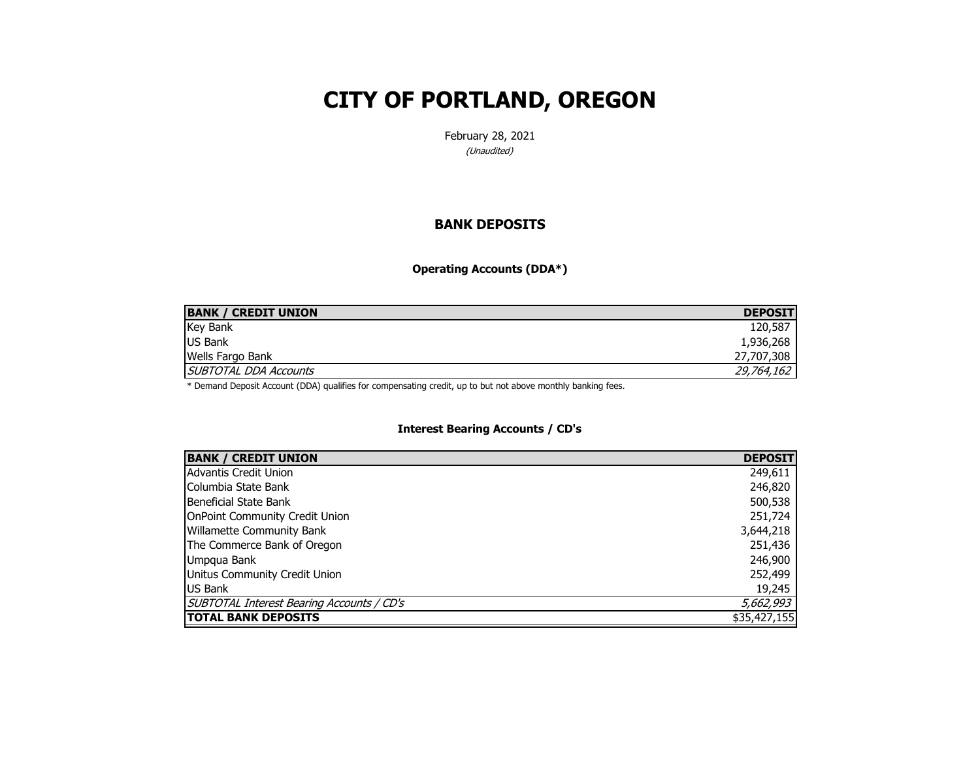February 28, 2021 (Unaudited)

#### **BANK DEPOSITS**

**Operating Accounts (DDA\*)**

| <b>BANK / CREDIT UNION</b>   | <b>DEPOSIT</b> |
|------------------------------|----------------|
| <b>Key Bank</b>              | 120,587        |
| <b>US Bank</b>               | 1,936,268      |
| <b>Wells Fargo Bank</b>      | 27,707,308     |
| <b>SUBTOTAL DDA Accounts</b> | 29,764,162     |

\* Demand Deposit Account (DDA) qualifies for compensating credit, up to but not above monthly banking fees.

#### **Interest Bearing Accounts / CD's**

| <b>BANK / CREDIT UNION</b>                | <b>DEPOSIT</b> |
|-------------------------------------------|----------------|
| Advantis Credit Union                     | 249,611        |
| Columbia State Bank                       | 246,820        |
| Beneficial State Bank                     | 500,538        |
| <b>OnPoint Community Credit Union</b>     | 251,724        |
| <b>Willamette Community Bank</b>          | 3,644,218      |
| The Commerce Bank of Oregon               | 251,436        |
| Umpqua Bank                               | 246,900        |
| Unitus Community Credit Union             | 252,499        |
| US Bank                                   | 19,245         |
| SUBTOTAL Interest Bearing Accounts / CD's | 5,662,993      |
| <b>TOTAL BANK DEPOSITS</b>                | \$35,427,155   |